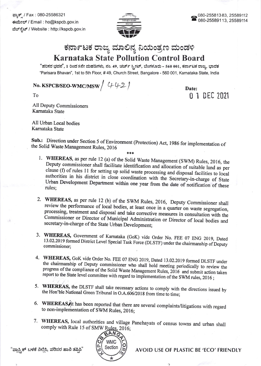ಫ್ಲಾಕ್ಸ್ / Fax : 080-25586321 ಕಃಮೇಲ್ / Email : ho@kspcb.gov.in ವೆಬ್ ಸ್ಪೆಟ್ / Website : http://kspcb.gov.in



## ಕರ್ನಾಟಕ ರಾಜ್ಯ ಮಾಲಿನ್ಯ ನಿಯಂತ್ರಣ ಮಂಡಳಿ Karnataka State Pollution Control Board

"ಪರಿಸರ ಭವನ", 1 ರಿಂದ 5ನೇ ಮಹಡಿಗಳು, ನಂ. 49, ಚರ್ಚ್ ಸ್ಟೀಟ್, ಬೆಂಗಳೂರು - 560 001, ಕರ್ನಾಟಕ ರಾಜ್ಯ, ಭಾರತ "Parisara Bhavan', 1st to 5th Floor, # 49, Church Street, Bangalore - 560 001, Karnataka State, India

## No. KSPCB/SEO-WMC/MSW  $/$  442/

Date: 0 1 DEC <sup>2021</sup>

To

AII Deputy Commissioners Kamataka State

AII Urban Local bodies Kamataka State

Sub.: Direction under Section 5 of Environment (Protection) Act, 1986 for implementation of the Solid Waste Management Rules, 2016

- 
- 1. WHEREAS, as per rule 12 (a) of the Solid Waste Management (SWM) Rules, 2016, the Deputy commissioner shall facilitate identification and allocation of suitable land as per clause (f) of rules 11 for setting up solid was authorities in his district in close coordination with the Secretary-in-charge of State Urban Development Department within one year from the date of notification of these rules:
- 2. WHEREAS, as per rule 12 (b) of the SWM Rules, 2016, Deputy Commissioner shall review the performance of local bodies, at least once in a quarter on waste segregation, processing, treatment and disposal and take correcti
- 3. WHEREAS, Government of Karnataka (GoK) vide Order No. FEE 07 ENG 2019, Dated 13.02.2019 formed District Level Special Task Force (DLSTF) under the chairmanship of Deputy commissioner;
- 4. WHEREAS, GoK vide Order No. FEE 07 ENG 2019, Dated 13.02.2019 formed DLSTF under the chairmanship of Deputy commissioner who shall hold meeting periodically to review the progress of the compliance of the Solid Waste Management Rules, 2016 and submit action taken report to the State level committee with regard to implementation of the SWM rules, 2016;
- 5. WHEREAS, the DLSTF shall take necessary actions to comply with the directions issued by the Hon'ble National Green Tribunal in O.A.606/2018 from time to time;
- 6. WHEREAS, it has been reported that there are several complaints/litigations with regard to non-implementation of SWM Rules, 2016:
- 7. WHEREAS, local authorities and village Panchayats of census towns and urban shall comply with Rule 15 of SMW Rules, 2016;



"ಪ್ಲಾಸ್ಟ್ರಿಕ್ ಬಳಕೆ ನಿಲ್ಲಿಸಿ, ಪರಿಸರ ಹಾನಿ ತಪ್ಪಿಸಿ" (೧) Section

AVOID USE OF PLASTIC BE 'ECO' FRIENDLY